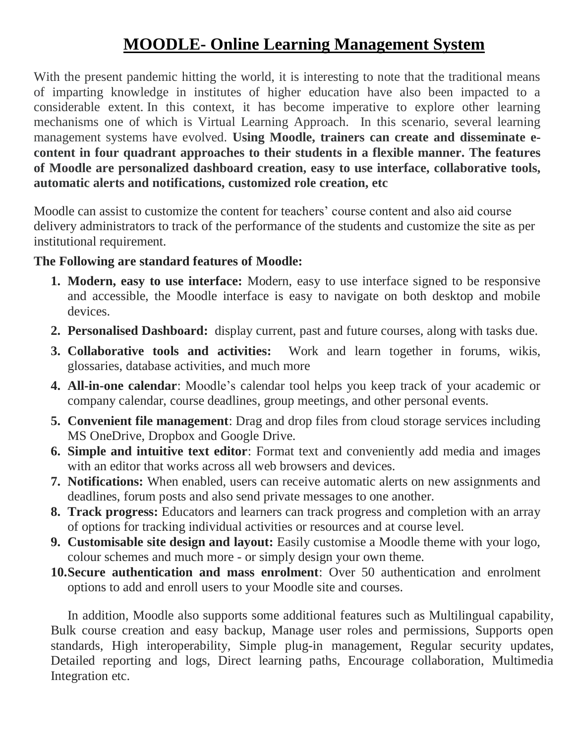## **MOODLE- Online Learning Management System**

With the present pandemic hitting the world, it is interesting to note that the traditional means of imparting knowledge in institutes of higher education have also been impacted to a considerable extent. In this context, it has become imperative to explore other learning mechanisms one of which is Virtual Learning Approach. In this scenario, several learning management systems have evolved. **Using Moodle, trainers can create and disseminate econtent in four quadrant approaches to their students in a flexible manner. The features of Moodle are personalized dashboard creation, easy to use interface, collaborative tools, automatic alerts and notifications, customized role creation, etc** 

Moodle can assist to customize the content for teachers' course content and also aid course delivery administrators to track of the performance of the students and customize the site as per institutional requirement.

## **The Following are standard features of Moodle:**

- **1. Modern, easy to use interface:** Modern, easy to use interface signed to be responsive and accessible, the Moodle interface is easy to navigate on both desktop and mobile devices.
- **2. Personalised Dashboard:** display current, past and future courses, along with tasks due.
- **3. Collaborative tools and activities:** Work and learn together in forums, wikis, glossaries, database activities, and much more
- **4. All-in-one calendar**: Moodle's calendar tool helps you keep track of your academic or company calendar, course deadlines, group meetings, and other personal events.
- **5. Convenient file management**: Drag and drop files from cloud storage services including MS OneDrive, Dropbox and Google Drive.
- **6. Simple and intuitive text editor**: Format text and conveniently add media and images with an editor that works across all web browsers and devices.
- **7. Notifications:** When enabled, users can receive automatic alerts on new assignments and deadlines, forum posts and also send private messages to one another.
- **8. Track progress:** Educators and learners can track progress and completion with an array of options for tracking individual activities or resources and at course level.
- **9. Customisable site design and layout:** Easily customise a Moodle theme with your logo, colour schemes and much more - or simply design your own theme.
- **10.Secure authentication and mass enrolment**: Over 50 authentication and enrolment options to add and enroll users to your Moodle site and courses.

In addition, Moodle also supports some additional features such as Multilingual capability, Bulk course creation and easy backup, Manage user roles and permissions, Supports open standards, High interoperability, Simple plug-in management, Regular security updates, Detailed reporting and logs, Direct learning paths, Encourage collaboration, Multimedia Integration etc.